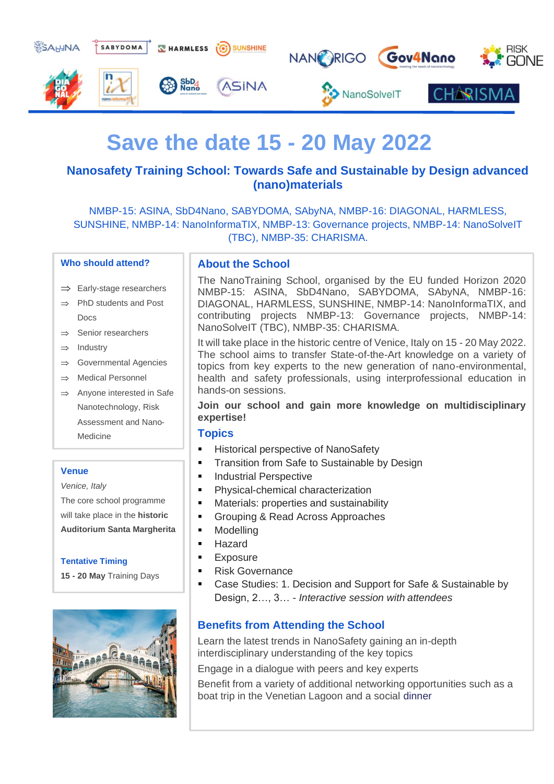

# **Save the date 15 - 20 May 2022**

# **Nanosafety Training School: Towards Safe and Sustainable by Design advanced (nano)materials**

NMBP-15: ASINA, SbD4Nano, SABYDOMA, SAbyNA, NMBP-16: DIAGONAL, HARMLESS, SUNSHINE, NMBP-14: NanoInformaTIX, NMBP-13: Governance projects, NMBP-14: NanoSolveIT (TBC), NMBP-35: CHARISMA.

#### **Who should attend?**

- $\Rightarrow$  Early-stage researchers
- $\Rightarrow$  PhD students and Post Docs
- $\Rightarrow$  Senior researchers
- $\Rightarrow$  Industry
- $\Rightarrow$  Governmental Agencies
- $\Rightarrow$  Medical Personnel
- $\Rightarrow$  Anyone interested in Safe Nanotechnology, Risk Assessment and Nano-Medicine

#### **Venue**

*Venice, Italy*

The core school programme will take place in the **historic Auditorium Santa Margherita** 

### **Tentative Timing**

**15 - 20 May** Training Days



## **About the School**

The NanoTraining School, organised by the EU funded Horizon 2020 NMBP-15: ASINA, SbD4Nano, SABYDOMA, SAbyNA, NMBP-16: DIAGONAL, HARMLESS, SUNSHINE, NMBP-14: NanoInformaTIX, and contributing projects NMBP-13: Governance projects, NMBP-14: NanoSolveIT (TBC), NMBP-35: CHARISMA.

It will take place in the historic centre of Venice, Italy on 15 - 20 May 2022. The school aims to transfer State-of-the-Art knowledge on a variety of topics from key experts to the new generation of nano-environmental, health and safety professionals, using interprofessional education in hands-on sessions.

## **Join our school and gain more knowledge on multidisciplinary expertise!**

#### **Topics**

- Historical perspective of NanoSafety
- Transition from Safe to Sustainable by Design
- **Industrial Perspective**
- Physical-chemical characterization
- Materials: properties and sustainability
- Grouping & Read Across Approaches
- Modelling
- **Hazard**
- **Exposure**
- **Risk Governance**
- Case Studies: 1. Decision and Support for Safe & Sustainable by Design, 2…, 3… - *Interactive session with attendees*

## **Benefits from Attending the School**

Learn the latest trends in NanoSafety gaining an in-depth interdisciplinary understanding of the key topics

Engage in a dialogue with peers and key experts

Benefit from a variety of additional networking opportunities such as a boat trip in the Venetian Lagoon and a social dinner